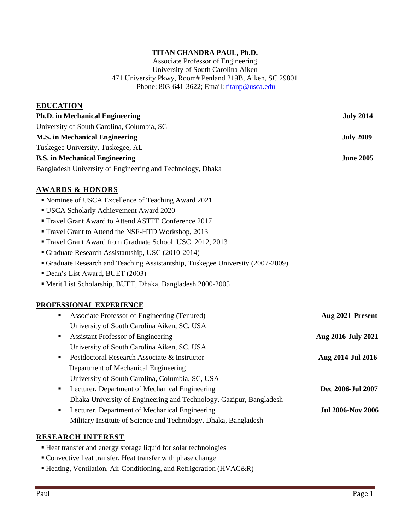# **TITAN CHANDRA PAUL, Ph.D.**

Associate Professor of Engineering University of South Carolina Aiken 471 University Pkwy, Room# Penland 219B, Aiken, SC 29801 Phone: 803-641-3622; Email: [titanp@usca.edu](mailto:titanp@usca.edu)

| <b>EDUCATION</b>                                                              |                          |
|-------------------------------------------------------------------------------|--------------------------|
| <b>Ph.D.</b> in Mechanical Engineering                                        | <b>July 2014</b>         |
| University of South Carolina, Columbia, SC                                    |                          |
| <b>M.S. in Mechanical Engineering</b>                                         | <b>July 2009</b>         |
| Tuskegee University, Tuskegee, AL                                             |                          |
| <b>B.S.</b> in Mechanical Engineering                                         | <b>June 2005</b>         |
| Bangladesh University of Engineering and Technology, Dhaka                    |                          |
| <b>AWARDS &amp; HONORS</b>                                                    |                          |
| Nominee of USCA Excellence of Teaching Award 2021                             |                          |
| " USCA Scholarly Achievement Award 2020                                       |                          |
| " Travel Grant Award to Attend ASTFE Conference 2017                          |                          |
| " Travel Grant to Attend the NSF-HTD Workshop, 2013                           |                          |
| " Travel Grant Award from Graduate School, USC, 2012, 2013                    |                          |
| Graduate Research Assistantship, USC (2010-2014)                              |                          |
| Graduate Research and Teaching Assistantship, Tuskegee University (2007-2009) |                          |
| Dean's List Award, BUET (2003)                                                |                          |
| Merit List Scholarship, BUET, Dhaka, Bangladesh 2000-2005                     |                          |
| PROFESSIONAL EXPERIENCE                                                       |                          |
| Associate Professor of Engineering (Tenured)<br>٠                             | Aug 2021-Present         |
| University of South Carolina Aiken, SC, USA                                   |                          |
| <b>Assistant Professor of Engineering</b><br>٠                                | Aug 2016-July 2021       |
| University of South Carolina Aiken, SC, USA                                   |                          |
| Postdoctoral Research Associate & Instructor<br>٠                             | Aug 2014-Jul 2016        |
| Department of Mechanical Engineering                                          |                          |
| University of South Carolina, Columbia, SC, USA                               |                          |
| Lecturer, Department of Mechanical Engineering<br>٠                           | Dec 2006-Jul 2007        |
| Dhaka University of Engineering and Technology, Gazipur, Bangladesh           |                          |
| Lecturer, Department of Mechanical Engineering<br>п                           | <b>Jul 2006-Nov 2006</b> |
| Military Institute of Science and Technology, Dhaka, Bangladesh               |                          |
| <b>RESEARCH INTEREST</b>                                                      |                          |

- Heat transfer and energy storage liquid for solar technologies
- Convective heat transfer, Heat transfer with phase change
- Heating, Ventilation, Air Conditioning, and Refrigeration (HVAC&R)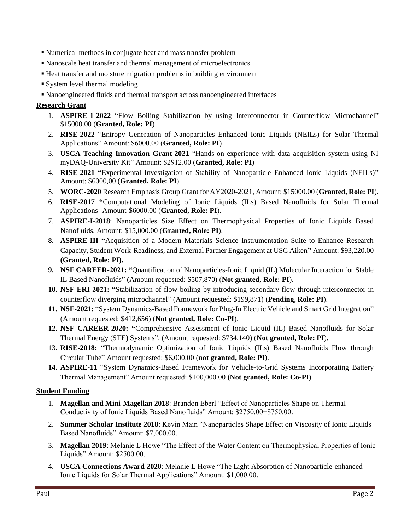- Numerical methods in conjugate heat and mass transfer problem
- Nanoscale heat transfer and thermal management of microelectronics
- Heat transfer and moisture migration problems in building environment
- System level thermal modeling
- Nanoengineered fluids and thermal transport across nanoengineered interfaces

## **Research Grant**

- 1. **ASPIRE-1-2022** "Flow Boiling Stabilization by using Interconnector in Counterflow Microchannel" \$15000.00 (**Granted, Role: PI**)
- 2. **RISE-2022** "Entropy Generation of Nanoparticles Enhanced Ionic Liquids (NEILs) for Solar Thermal Applications" Amount: \$6000.00 (**Granted, Role: PI**)
- 3. **USCA Teaching Innovation Grant-2021** "Hands-on experience with data acquisition system using NI myDAQ-University Kit" Amount: \$2912.00 (**Granted, Role: PI**)
- 4. **RISE-2021 "**Experimental Investigation of Stability of Nanoparticle Enhanced Ionic Liquids (NEILs)" Amount: \$6000,00 (**Granted, Role: PI**)
- 5. **WORC-2020** Research Emphasis Group Grant for AY2020-2021, Amount: \$15000.00 (**Granted, Role: PI**).
- 6. **RISE-2017 "**Computational Modeling of Ionic Liquids (ILs) Based Nanofluids for Solar Thermal Applications- Amount-\$6000.00 (**Granted, Role: PI**).
- 7. **ASPIRE-I-2018**: Nanoparticles Size Effect on Thermophysical Properties of Ionic Liquids Based Nanofluids, Amount: \$15,000.00 (**Granted, Role: PI**).
- **8. ASPIRE-III "**Acquisition of a Modern Materials Science Instrumentation Suite to Enhance Research Capacity, Student Work-Readiness, and External Partner Engagement at USC Aiken**"** Amount: \$93,220.00 **(Granted, Role: PI).**
- **9. NSF CAREER-2021: "**Quantification of Nanoparticles-Ionic Liquid (IL) Molecular Interaction for Stable IL Based Nanofluids" (Amount requested: \$507,870) (**Not granted, Role: PI**).
- **10. NSF ERI-2021: "**Stabilization of flow boiling by introducing secondary flow through interconnector in counterflow diverging microchannel" (Amount requested: \$199,871) (**Pending, Role: PI**).
- **11. NSF-2021:** "System Dynamics-Based Framework for Plug-In Electric Vehicle and Smart Grid Integration" (Amount requested: \$412,656) (**Not granted, Role: Co-PI**).
- **12. NSF CAREER-2020: "**Comprehensive Assessment of Ionic Liquid (IL) Based Nanofluids for Solar Thermal Energy (STE) Systems". (Amount requested: \$734,140) (**Not granted, Role: PI**).
- 13. **RISE-2018:** "Thermodynamic Optimization of Ionic Liquids (ILs) Based Nanofluids Flow through Circular Tube" Amount requested: \$6,000.00 (**not granted, Role: PI**).
- **14. ASPIRE-11** "System Dynamics-Based Framework for Vehicle-to-Grid Systems Incorporating Battery Thermal Management" Amount requested: \$100,000.00 **(Not granted, Role: Co-PI)**

#### **Student Funding**

- 1. **Magellan and Mini-Magellan 2018**: Brandon Eberl "Effect of Nanoparticles Shape on Thermal Conductivity of Ionic Liquids Based Nanofluids" Amount: \$2750.00+\$750.00.
- 2. **Summer Scholar Institute 2018**: Kevin Main "Nanoparticles Shape Effect on Viscosity of Ionic Liquids Based Nanofluids" Amount: \$7,000.00.
- 3. **Magellan 2019**: Melanie L Howe "The Effect of the Water Content on Thermophysical Properties of Ionic Liquids" Amount: \$2500.00.
- 4. **USCA Connections Award 2020**: Melanie L Howe "The Light Absorption of Nanoparticle-enhanced Ionic Liquids for Solar Thermal Applications" Amount: \$1,000.00.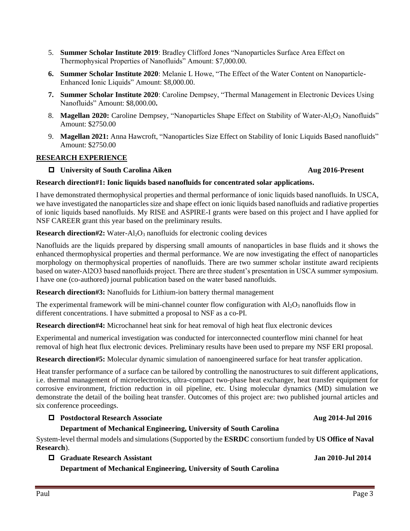- 5. **Summer Scholar Institute 2019**: Bradley Clifford Jones "Nanoparticles Surface Area Effect on Thermophysical Properties of Nanofluids" Amount: \$7,000.00.
- **6. Summer Scholar Institute 2020**: Melanie L Howe, "The Effect of the Water Content on Nanoparticle-Enhanced Ionic Liquids" Amount: \$8,000.00.
- **7. Summer Scholar Institute 2020**: Caroline Dempsey, "Thermal Management in Electronic Devices Using Nanofluids" Amount: \$8,000.00**.**
- 8. **Magellan 2020:** Caroline Dempsey, "Nanoparticles Shape Effect on Stability of Water-Al<sub>2</sub>O<sub>3</sub> Nanofluids" Amount: \$2750.00
- 9. **Magellan 2021:** Anna Hawcroft, "Nanoparticles Size Effect on Stability of Ionic Liquids Based nanofluids" Amount: \$2750.00

## **RESEARCH EXPERIENCE**

### **University of South Carolina Aiken** Aug 2016-Present

#### **Research direction#1: Ionic liquids based nanofluids for concentrated solar applications.**

I have demonstrated thermophysical properties and thermal performance of ionic liquids based nanofluids. In USCA, we have investigated the nanoparticles size and shape effect on ionic liquids based nanofluids and radiative properties of ionic liquids based nanofluids. My RISE and ASPIRE-I grants were based on this project and I have applied for NSF CAREER grant this year based on the preliminary results.

**Research direction#2:** Water-Al<sub>2</sub>O<sub>3</sub> nanofluids for electronic cooling devices

Nanofluids are the liquids prepared by dispersing small amounts of nanoparticles in base fluids and it shows the enhanced thermophysical properties and thermal performance. We are now investigating the effect of nanoparticles morphology on thermophysical properties of nanofluids. There are two summer scholar institute award recipients based on water-Al2O3 based nanofluids project. There are three student's presentation in USCA summer symposium. I have one (co-authored) journal publication based on the water based nanofluids.

**Research direction#3:** Nanofluids for Lithium-ion battery thermal management

The experimental framework will be mini-channel counter flow configuration with  $A_1O_3$  nanofluids flow in different concentrations. I have submitted a proposal to NSF as a co-PI.

**Research direction#4:** Microchannel heat sink for heat removal of high heat flux electronic devices

Experimental and numerical investigation was conducted for interconnected counterflow mini channel for heat removal of high heat flux electronic devices. Preliminary results have been used to prepare my NSF ERI proposal.

**Research direction#5:** Molecular dynamic simulation of nanoengineered surface for heat transfer application.

Heat transfer performance of a surface can be tailored by controlling the nanostructures to suit different applications, i.e. thermal management of microelectronics, ultra-compact two-phase heat exchanger, heat transfer equipment for corrosive environment, friction reduction in oil pipeline, etc. Using molecular dynamics (MD) simulation we demonstrate the detail of the boiling heat transfer. Outcomes of this project are: two published journal articles and six conference proceedings.

#### **Postdoctoral Research Associate** Aug 2014-Jul 2016

#### **Department of Mechanical Engineering, University of South Carolina**

System-level thermal models and simulations (Supported by the **ESRDC** consortium funded by **US Office of Naval Research**).

#### **Graduate Research Assistant Jan 2010-Jul 2014**

**Department of Mechanical Engineering, University of South Carolina**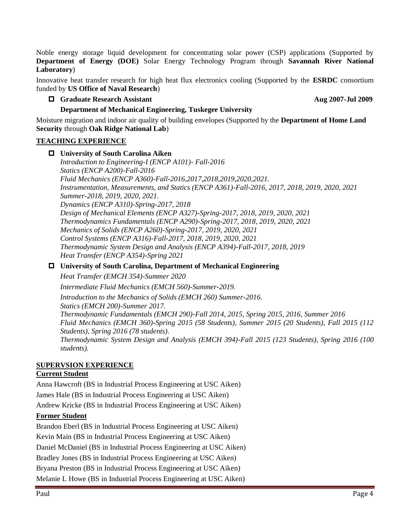Noble energy storage liquid development for concentrating solar power (CSP) applications (Supported by **Department of Energy (DOE)** Solar Energy Technology Program through **Savannah River National Laboratory**)

Innovative heat transfer research for high heat flux electronics cooling (Supported by the **ESRDC** consortium funded by **US Office of Naval Research**)

### **Graduate Research Assistant Aug 2007-Jul 2009**

### **Department of Mechanical Engineering, Tuskegee University**

Moisture migration and indoor air quality of building envelopes (Supported by the **Department of Home Land Security** through **Oak Ridge National Lab**)

### **TEACHING EXPERIENCE**

 **University of South Carolina Aiken** *Introduction to Engineering-I (ENCP A101)- Fall-2016 Statics (ENCP A200)-Fall-2016 Fluid Mechanics (ENCP A360)-Fall-2016,2017,2018,2019,2020,2021. Instrumentation, Measurements, and Statics (ENCP A361)-Fall-2016, 2017, 2018, 2019, 2020, 2021 Summer-2018, 2019, 2020, 2021. Dynamics (ENCP A310)-Spring-2017, 2018 Design of Mechanical Elements (ENCP A327)-Spring-2017, 2018, 2019, 2020, 2021 Thermodynamics Fundamentals (ENCP A290)-Spring-2017, 2018, 2019, 2020, 2021 Mechanics of Solids (ENCP A260)-Spring-2017, 2019, 2020, 2021 Control Systems (ENCP A316)-Fall-2017, 2018, 2019, 2020, 2021 Thermodynamic System Design and Analysis (ENCP A394)-Fall-2017, 2018, 2019 Heat Transfer (ENCP A354)-Spring 2021*

#### **University of South Carolina, Department of Mechanical Engineering**

*Heat Transfer (EMCH 354)-Summer 2020*

*Intermediate Fluid Mechanics (EMCH 560)-Summer-2019.* 

*Introduction to the Mechanics of Solids (EMCH 260) Summer-2016. Statics (EMCH 200)-Summer 2017.* 

*Thermodynamic Fundamentals (EMCH 290)-Fall 2014, 2015, Spring 2015, 2016, Summer 2016 Fluid Mechanics (EMCH 360)-Spring 2015 (58 Students), Summer 2015 (20 Students), Fall 2015 (112 Students), Spring 2016 (78 students). Thermodynamic System Design and Analysis (EMCH 394)-Fall 2015 (123 Students), Spring 2016 (100 students).* 

## **SUPERVSION EXPERIENCE**

## **Current Student**

Anna Hawcroft (BS in Industrial Process Engineering at USC Aiken) James Hale (BS in Industrial Process Engineering at USC Aiken) Andrew Kricke (BS in Industrial Process Engineering at USC Aiken) **Former Student**

Brandon Eberl (BS in Industrial Process Engineering at USC Aiken) Kevin Main (BS in Industrial Process Engineering at USC Aiken) Daniel McDaniel (BS in Industrial Process Engineering at USC Aiken) Bradley Jones (BS in Industrial Process Engineering at USC Aiken) Bryana Preston (BS in Industrial Process Engineering at USC Aiken) Melanie L Howe (BS in Industrial Process Engineering at USC Aiken)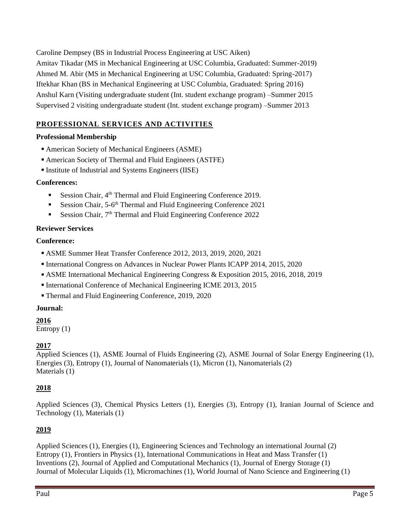Caroline Dempsey (BS in Industrial Process Engineering at USC Aiken) Amitav Tikadar (MS in Mechanical Engineering at USC Columbia, Graduated: Summer-2019) Ahmed M. Abir (MS in Mechanical Engineering at USC Columbia, Graduated: Spring-2017) Iftekhar Khan (BS in Mechanical Engineering at USC Columbia, Graduated: Spring 2016) Anshul Karn (Visiting undergraduate student (Int. student exchange program) –Summer 2015 Supervised 2 visiting undergraduate student (Int. student exchange program) –Summer 2013

# **PROFESSIONAL SERVICES AND ACTIVITIES**

# **Professional Membership**

- American Society of Mechanical Engineers (ASME)
- American Society of Thermal and Fluid Engineers (ASTFE)
- Institute of Industrial and Systems Engineers (IISE)

## **Conferences:**

- Session Chair, 4<sup>th</sup> Thermal and Fluid Engineering Conference 2019.
- **Exercise Session Chair, 5-6th Thermal and Fluid Engineering Conference 2021**
- **Exercise Session Chair, 7th Thermal and Fluid Engineering Conference 2022**

## **Reviewer Services**

## **Conference:**

- ASME Summer Heat Transfer Conference 2012, 2013, 2019, 2020, 2021
- International Congress on Advances in Nuclear Power Plants ICAPP 2014, 2015, 2020
- ASME International Mechanical Engineering Congress & Exposition 2015, 2016, 2018, 2019
- International Conference of Mechanical Engineering ICME 2013, 2015
- Thermal and Fluid Engineering Conference, 2019, 2020

## **Journal:**

## **2016**

Entropy (1)

## **2017**

Applied Sciences (1), ASME Journal of Fluids Engineering (2), ASME Journal of Solar Energy Engineering (1), Energies (3), Entropy (1), Journal of Nanomaterials (1), Micron (1), Nanomaterials (2) Materials (1)

## **2018**

Applied Sciences (3), Chemical Physics Letters (1), Energies (3), Entropy (1), Iranian Journal of Science and Technology (1), Materials (1)

# **2019**

Applied Sciences (1), Energies (1), Engineering Sciences and Technology an international Journal (2) Entropy (1), Frontiers in Physics (1), International Communications in Heat and Mass Transfer (1) Inventions (2), Journal of Applied and Computational Mechanics (1), Journal of Energy Storage (1) Journal of Molecular Liquids (1), Micromachines (1), World Journal of Nano Science and Engineering (1)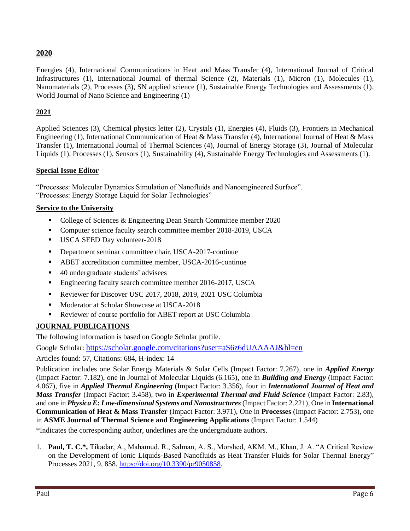# **2020**

Energies (4), International Communications in Heat and Mass Transfer (4), International Journal of Critical Infrastructures (1), International Journal of thermal Science (2), Materials (1), Micron (1), Molecules (1), Nanomaterials (2), Processes (3), SN applied science (1), Sustainable Energy Technologies and Assessments (1), World Journal of Nano Science and Engineering (1)

# **2021**

Applied Sciences (3), Chemical physics letter (2), Crystals (1), Energies (4), Fluids (3), Frontiers in Mechanical Engineering (1), International Communication of Heat & Mass Transfer (4), International Journal of Heat & Mass Transfer (1), International Journal of Thermal Sciences (4), Journal of Energy Storage (3), Journal of Molecular Liquids (1), Processes (1), Sensors (1), Sustainability (4), Sustainable Energy Technologies and Assessments (1).

### **Special Issue Editor**

"Processes: Molecular Dynamics Simulation of Nanofluids and Nanoengineered Surface". "Processes: Energy Storage Liquid for Solar Technologies"

## **Service to the University**

- College of Sciences & Engineering Dean Search Committee member 2020
- Computer science faculty search committee member 2018-2019, USCA
- **USCA SEED Day volunteer-2018**
- Department seminar committee chair, USCA-2017-continue
- ABET accreditation committee member, USCA-2016-continue
- 40 undergraduate students' advisees
- **Engineering faculty search committee member 2016-2017, USCA**
- Reviewer for Discover USC 2017, 2018, 2019, 2021 USC Columbia
- Moderator at Scholar Showcase at USCA-2018
- Reviewer of course portfolio for ABET report at USC Columbia

## **JOURNAL PUBLICATIONS**

The following information is based on Google Scholar profile.

Google Scholar: <https://scholar.google.com/citations?user=aS6z6dUAAAAJ&hl=en>

Articles found: 57, Citations: 684, H-index: 14

Publication includes one Solar Energy Materials & Solar Cells (Impact Factor: 7.267), one in *Applied Energy*  (Impact Factor: 7.182), one in Journal of Molecular Liquids (6.165), one in *Building and Energy* (Impact Factor: 4.067), five in *Applied Thermal Engineering* (Impact Factor: 3.356), four in *International Journal of Heat and Mass Transfer* (Impact Factor: 3.458), two in *Experimental Thermal and Fluid Science* (Impact Factor: 2.83), and one in *Physica E: Low-dimensional Systems and Nanostructures* (Impact Factor: 2.221), One in **International Communication of Heat & Mass Transfer** (Impact Factor: 3.971), One in **Processes** (Impact Factor: 2.753), one in **ASME Journal of Thermal Science and Engineering Applications** (Impact Factor: 1.544)

\*Indicates the corresponding author, underlines are the undergraduate authors.

1. **Paul, T. C.\*,** Tikadar, A., Mahamud, R., Salman, A. S., Morshed, AKM. M., Khan, J. A. "A Critical Review on the Development of Ionic Liquids-Based Nanofluids as Heat Transfer Fluids for Solar Thermal Energy" Processes 2021, 9, 858. [https://doi.org/10.3390/pr9050858.](https://doi.org/10.3390/pr9050858)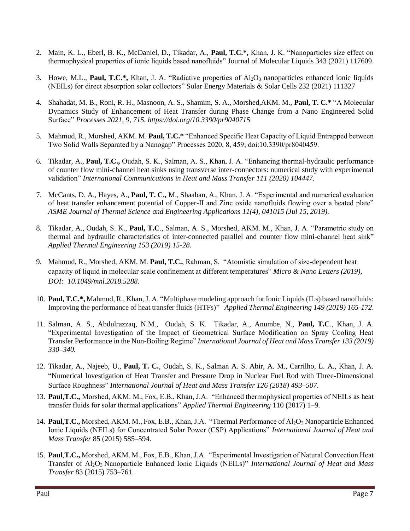- 2. Main, K. L., Eberl, B. K., McDaniel, D., Tikadar, A., **Paul, T.C.\*,** Khan, J. K. "Nanoparticles size effect on thermophysical properties of ionic liquids based nanofluids" Journal of Molecular Liquids 343 (2021) 117609.
- 3. Howe, M.L., **Paul, T.C.\*,** Khan, J. A. "Radiative properties of Al2O<sup>3</sup> nanoparticles enhanced ionic liquids (NEILs) for direct absorption solar collectors" Solar Energy Materials & Solar Cells 232 (2021) 111327
- 4. Shahadat, M. B., Roni, R. H., Masnoon, A. S., Shamim, S. A., Morshed,AKM. M., **Paul, T. C.\*** "A Molecular Dynamics Study of Enhancement of Heat Transfer during Phase Change from a Nano Engineered Solid Surface" *Processes 2021, 9, 715. https://doi.org/10.3390/pr9040715*
- 5. Mahmud, R., Morshed, AKM. M. **Paul, T.C.\*** "Enhanced Specific Heat Capacity of Liquid Entrapped between Two Solid Walls Separated by a Nanogap" Processes 2020, 8, 459; doi:10.3390/pr8040459.
- 6. Tikadar, A., **Paul, T.C.,** Oudah, S. K., Salman, A. S., Khan, J. A. "Enhancing thermal-hydraulic performance of counter flow mini-channel heat sinks using transverse inter-connectors: numerical study with experimental validation" *International Communications in Heat and Mass Transfer 111 (2020) 104447.*
- 7. McCants, D. A., Hayes, A., **Paul, T. C.,** M., Shaaban, A., Khan, J. A. "Experimental and numerical evaluation of heat transfer enhancement potential of Copper-II and Zinc oxide nanofluids flowing over a heated plate" *ASME Journal of Thermal Science and Engineering Applications 11(4), 041015 (Jul 15, 2019).*
- 8. Tikadar, A., Oudah, S. K., **Paul, T.C**., Salman, A. S., Morshed, AKM. M., Khan, J. A. "Parametric study on thermal and hydraulic characteristics of inter-connected parallel and counter flow mini-channel heat sink" *Applied Thermal Engineering 153 (2019) 15-28.*
- 9. Mahmud, R., Morshed, AKM. M. **Paul, T.C.**, Rahman, S. "Atomistic simulation of size-dependent heat capacity of liquid in molecular scale confinement at different temperatures" *Micro & Nano Letters (2019), DOI: 10.1049/mnl.2018.5288.*
- 10. **Paul, T.C.\*,** Mahmud, R., Khan, J. A. "Multiphase modeling approach for Ionic Liquids (ILs) based nanofluids: Improving the performance of heat transfer fluids (HTFs)" *Applied Thermal Engineering 149 (2019) 165-172*.
- 11. Salman, A. S., Abdulrazzaq, N.M., Oudah, S. K. Tikadar, A., Anumbe, N., **Paul, T.C**., Khan, J. A. "Experimental Investigation of the Impact of Geometrical Surface Modification on Spray Cooling Heat Transfer Performance in the Non-Boiling Regime" *International Journal of Heat and Mass Transfer 133 (2019) 330–340.*
- 12. Tikadar, A., Najeeb, U., **Paul, T. C.**, Oudah, S. K., Salman A. S. Abir, A. M., Carrilho, L. A., Khan, J. A. "Numerical Investigation of Heat Transfer and Pressure Drop in Nuclear Fuel Rod with Three-Dimensional Surface Roughness" *International Journal of Heat and Mass Transfer 126 (2018) 493–507*.
- 13. **Paul**,**T.C.,** Morshed, AKM. M., Fox, E.B., Khan, J.A. "Enhanced thermophysical properties of NEILs as heat transfer fluids for solar thermal applications" *Applied Thermal Engineering* 110 (2017) 1–9.
- 14. Paul, T.C., Morshed, AKM. M., Fox, E.B., Khan, J.A. "Thermal Performance of Al<sub>2</sub>O<sub>3</sub> Nanoparticle Enhanced Ionic Liquids (NEILs) for Concentrated Solar Power (CSP) Applications" *International Journal of Heat and Mass Transfer* 85 (2015) 585–594.
- 15. **Paul**,**T.C.,** Morshed, AKM. M., Fox, E.B., Khan, J.A. "Experimental Investigation of Natural Convection Heat Transfer of Al2O3 Nanoparticle Enhanced Ionic Liquids (NEILs)" *International Journal of Heat and Mass Transfer* 83 (2015) 753–761.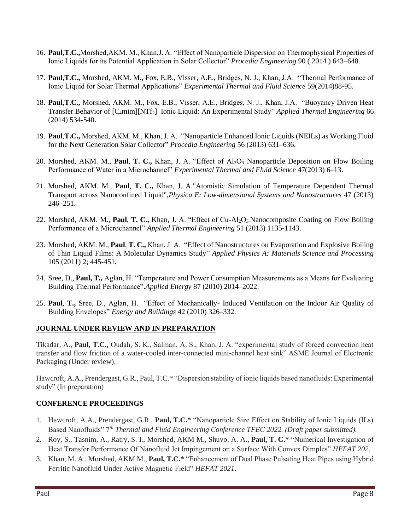- 16. **Paul**,**T.C.,**Morshed,AKM. M., Khan,J. A. "Effect of Nanoparticle Dispersion on Thermophysical Properties of Ionic Liquids for its Potential Application in Solar Collector" *Procedia Engineering* 90 ( 2014 ) 643–648*.*
- 17. **Paul**,**T.C.,** Morshed, AKM. M., Fox, E.B., Visser, A.E., Bridges, N. J., Khan, J.A. "Thermal Performance of Ionic Liquid for Solar Thermal Applications" *Experimental Thermal and Fluid Science* 59(2014)88-95.
- 18. **Paul**,**T.C.,** Morshed, AKM. M., Fox, E.B., Visser, A.E., Bridges, N. J., Khan, J.A. "Buoyancy Driven Heat Transfer Behavior of [C4mim][NTf2] Ionic Liquid: An Experimental Study" *Applied Thermal Engineering* 66 (2014) 534-540.
- 19. **Paul**,**T.C.,** Morshed, AKM. M., Khan, J. A. "Nanoparticle Enhanced Ionic Liquids (NEILs) as Working Fluid for the Next Generation Solar Collector" *Procedia Engineering* 56 (2013) 631–636.
- 20. Morshed, AKM. M., **Paul, T. C.,** Khan, J. A. "Effect of Al<sub>2</sub>O<sub>3</sub> Nanoparticle Deposition on Flow Boiling Performance of Water in a Microchannel" *Experimental Thermal and Fluid Science* 47(2013) 6–13.
- 21. Morshed, AKM. M., **Paul**, **T. C.,** Khan, J. A."Atomistic Simulation of Temperature Dependent Thermal Transport across Nanoconfined Liquid",*Physica E: Low-dimensional Systems and Nanostructures* 47 (2013) 246–251.
- 22. Morshed, AKM. M., **Paul**, **T. C.,** Khan, J. A. "Effect of Cu-Al2O3 Nanocomposite Coating on Flow Boiling Performance of a Microchannel" *Applied Thermal Engineering* 51 (2013) 1135-1143.
- 23. Morshed, AKM. M., **Paul**, **T. C.,** Khan, J. A. "Effect of Nanostructures on Evaporation and Explosive Boiling of Thin Liquid Films: A Molecular Dynamics Study" *Applied Physics A: Materials Science and Processing* 105 (2011) 2; 445-451*.*
- 24. Sree, D., **Paul, T.,** Aglan, H. "Temperature and Power Consumption Measurements as a Means for Evaluating Building Thermal Performance".*Applied Energy* 87 (2010) 2014–2022.
- 25. **Paul**, **T.,** Sree, D., Aglan, H. "Effect of Mechanically- Induced Ventilation on the Indoor Air Quality of Building Envelopes" *Energy and Buildings* 42 (2010) 326–332.

# **JOURNAL UNDER REVIEW AND IN PREPARATION**

Tikadar, A., **Paul, T.C.,** Oudah, S. K., Salman, A. S., Khan, J. A. "experimental study of forced convection heat transfer and flow friction of a water-cooled inter-connected mini-channel heat sink" ASME Journal of Electronic Packaging (Under review).

Hawcroft, A.A., Prendergast, G.R., Paul, T.C.\* "Dispersion stability of ionic liquids based nanofluids: Experimental study" (In preparation)

# **CONFERENCE PROCEEDINGS**

- 1. Hawcroft, A.A., Prendergast, G.R., **Paul, T.C.\*** "Nanoparticle Size Effect on Stability of Ionic Liquids (ILs) Based Nanofluids" 7*th Thermal and Fluid Engineering Conference TFEC 2022. (Draft paper submitted).*
- 2. Roy, S., Tasnim, A., Ratry, S. I., Morshed, AKM M., Shuvo, A. A., **Paul, T. C.\*** "Numerical Investigation of Heat Transfer Performance Of Nanofluid Jet Impingement on a Surface With Convex Dimples" *HEFAT 202*.
- 3. Khan, M. A., Morshed, AKM M., **Paul, T.C.\*** "Enhancement of Dual Phase Pulsating Heat Pipes using Hybrid Ferritic Nanofluid Under Active Magnetic Field" *HEFAT 2021*.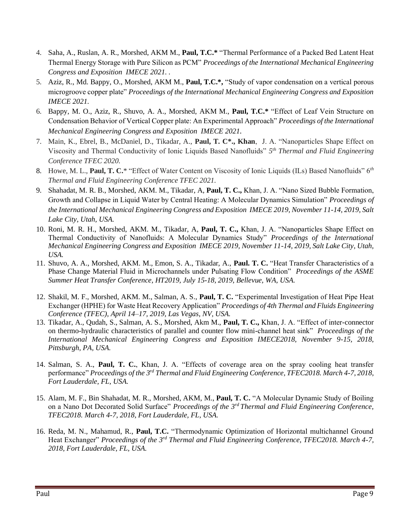- 4. Saha, A., Ruslan, A. R., Morshed, AKM M., **Paul, T.C.\*** "Thermal Performance of a Packed Bed Latent Heat Thermal Energy Storage with Pure Silicon as PCM" *Proceedings of the International Mechanical Engineering Congress and Exposition IMECE 2021. .*
- 5. Aziz, R., Md. Bappy, O., Morshed, AKM M., **Paul, T.C.\*,** "Study of vapor condensation on a vertical porous microgroove copper plate" *Proceedings of the International Mechanical Engineering Congress and Exposition IMECE 2021.*
- 6. Bappy, M. O., Aziz, R., Shuvo, A. A., Morshed, AKM M., **Paul, T.C.\*** "Effect of Leaf Vein Structure on Condensation Behavior of Vertical Copper plate: An Experimental Approach" *Proceedings of the International Mechanical Engineering Congress and Exposition IMECE 2021.*
- 7. Main, K., Ebrel, B., McDaniel, D., Tikadar, A., **Paul, T. C\*., Khan**, J. A. "Nanoparticles Shape Effect on Viscosity and Thermal Conductivity of Ionic Liquids Based Nanofluids" *5 th Thermal and Fluid Engineering Conference TFEC 2020.*
- 8. Howe, M. L., **Paul, T. C.**\* "Effect of Water Content on Viscosity of Ionic Liquids (ILs) Based Nanofluids" 6*th Thermal and Fluid Engineering Conference TFEC 2021.*
- 9. Shahadat, M. R. B., Morshed, AKM. M., Tikadar, A, **Paul, T. C.,** Khan, J. A. "Nano Sized Bubble Formation, Growth and Collapse in Liquid Water by Central Heating: A Molecular Dynamics Simulation" *Proceedings of the International Mechanical Engineering Congress and Exposition IMECE 2019, November 11-14, 2019, Salt Lake City, Utah, USA.*
- 10. Roni, M. R. H., Morshed, AKM. M., Tikadar, A, **Paul, T. C.,** Khan, J. A. "Nanoparticles Shape Effect on Thermal Conductivity of Nanofluids: A Molecular Dynamics Study" *Proceedings of the International Mechanical Engineering Congress and Exposition IMECE 2019, November 11-14, 2019, Salt Lake City, Utah, USA.*
- 11. Shuvo, A. A., Morshed, AKM. M., Emon, S. A., Tikadar, A., **Paul. T. C.** "Heat Transfer Characteristics of a Phase Change Material Fluid in Microchannels under Pulsating Flow Condition" *Proceedings of the ASME Summer Heat Transfer Conference, HT2019, July 15-18, 2019, Bellevue, WA, USA.*
- 12. Shakil, M. F., Morshed, AKM. M., Salman, A. S., **Paul, T. C.** "Experimental Investigation of Heat Pipe Heat Exchanger (HPHE) for Waste Heat Recovery Application" *Proceedings of 4th Thermal and Fluids Engineering Conference (TFEC), April 14–17, 2019, Las Vegas, NV, USA.*
- 13. Tikadar, A., Qudah, S., Salman, A. S., Morshed, Akm M., **Paul, T. C.,** Khan, J. A. "Effect of inter-connector on thermo-hydraulic characteristics of parallel and counter flow mini-channel heat sink" *Proceedings of the International Mechanical Engineering Congress and Exposition IMECE2018, November 9-15, 2018, Pittsburgh, PA, USA.*
- 14. Salman, S. A., **Paul, T. C.**, Khan, J. A. "Effects of coverage area on the spray cooling heat transfer performance" *Proceedings of the 3rd Thermal and Fluid Engineering Conference, TFEC2018. March 4-7, 2018, Fort Lauderdale, FL, USA.*
- 15. Alam, M. F., Bin Shahadat, M. R., Morshed, AKM, M., **Paul, T. C.** "A Molecular Dynamic Study of Boiling on a Nano Dot Decorated Solid Surface" *Proceedings of the 3rd Thermal and Fluid Engineering Conference, TFEC2018. March 4-7, 2018, Fort Lauderdale, FL, USA.*
- 16. Reda, M. N., Mahamud, R., **Paul, T.C.** "Thermodynamic Optimization of Horizontal multichannel Ground Heat Exchanger" *Proceedings of the 3rd Thermal and Fluid Engineering Conference, TFEC2018. March 4-7, 2018, Fort Lauderdale, FL, USA.*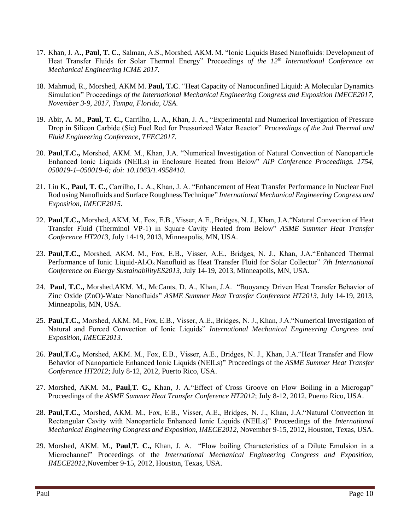- 17. Khan, J. A., **Paul, T. C.**, Salman, A.S., Morshed, AKM. M. "Ionic Liquids Based Nanofluids: Development of Heat Transfer Fluids for Solar Thermal Energy" Proceedings *of the 12th International Conference on Mechanical Engineering ICME 2017.*
- 18. Mahmud, R., Morshed, AKM M. **Paul, T.C**. "Heat Capacity of Nanoconfined Liquid: A Molecular Dynamics Simulation" Proceedings *of the International Mechanical Engineering Congress and Exposition IMECE2017, November 3-9, 2017, Tampa, Florida, USA.*
- 19. Abir, A. M., **Paul, T. C.,** Carrilho, L. A., Khan, J. A., "Experimental and Numerical Investigation of Pressure Drop in Silicon Carbide (Sic) Fuel Rod for Pressurized Water Reactor" *Proceedings of the 2nd Thermal and Fluid Engineering Conference, TFEC2017.*
- 20. **Paul**,**T.C.,** Morshed, AKM. M., Khan, J.A. "Numerical Investigation of Natural Convection of Nanoparticle Enhanced Ionic Liquids (NEILs) in Enclosure Heated from Below" *AIP Conference Proceedings. 1754, 050019-1–050019-6; doi: 10.1063/1.4958410.*
- 21. Liu K., **Paul, T. C.**, Carrilho, L. A., Khan, J. A. "Enhancement of Heat Transfer Performance in Nuclear Fuel Rod using Nanofluids and Surface Roughness Technique" *International Mechanical Engineering Congress and Exposition, IMECE2015*.
- 22. **Paul**,**T.C.,** Morshed, AKM. M., Fox, E.B., Visser, A.E., Bridges, N. J., Khan, J.A."Natural Convection of Heat Transfer Fluid (Therminol VP-1) in Square Cavity Heated from Below" *ASME Summer Heat Transfer Conference HT2013*, July 14-19, 2013, Minneapolis, MN, USA.
- 23. **Paul**,**T.C.,** Morshed, AKM. M., Fox, E.B., Visser, A.E., Bridges, N. J., Khan, J.A."Enhanced Thermal Performance of Ionic Liquid-Al<sub>2</sub>O<sub>3</sub> Nanofluid as Heat Transfer Fluid for Solar Collector" 7th International *Conference on Energy SustainabilityES2013*, July 14-19, 2013, Minneapolis, MN, USA.
- 24. **Paul**, **T.C.,** Morshed,AKM. M., McCants, D. A., Khan, J.A. "Buoyancy Driven Heat Transfer Behavior of Zinc Oxide (ZnO)-Water Nanofluids" *ASME Summer Heat Transfer Conference HT2013*, July 14-19, 2013, Minneapolis, MN, USA.
- 25. **Paul**,**T.C.,** Morshed, AKM. M., Fox, E.B., Visser, A.E., Bridges, N. J., Khan, J.A."Numerical Investigation of Natural and Forced Convection of Ionic Liquids" *International Mechanical Engineering Congress and Exposition, IMECE2013*.
- 26. **Paul**,**T.C.,** Morshed, AKM. M., Fox, E.B., Visser, A.E., Bridges, N. J., Khan, J.A."Heat Transfer and Flow Behavior of Nanoparticle Enhanced Ionic Liquids (NEILs)" Proceedings of the *ASME Summer Heat Transfer Conference HT2012*; July 8-12, 2012, Puerto Rico, USA.
- 27. Morshed, AKM. M., **Paul**,**T. C.,** Khan, J. A."Effect of Cross Groove on Flow Boiling in a Microgap" Proceedings of the *ASME Summer Heat Transfer Conference HT2012*; July 8-12, 2012, Puerto Rico, USA.
- 28. **Paul**,**T.C.,** Morshed, AKM. M., Fox, E.B., Visser, A.E., Bridges, N. J., Khan, J.A."Natural Convection in Rectangular Cavity with Nanoparticle Enhanced Ionic Liquids (NEILs)" Proceedings of the *International Mechanical Engineering Congress and Exposition, IMECE2012*, November 9-15, 2012, Houston, Texas, USA.
- 29. Morshed, AKM. M., **Paul**,**T. C.,** Khan, J. A. "Flow boiling Characteristics of a Dilute Emulsion in a Microchannel" Proceedings of the *International Mechanical Engineering Congress and Exposition, IMECE2012*,November 9-15, 2012, Houston, Texas, USA.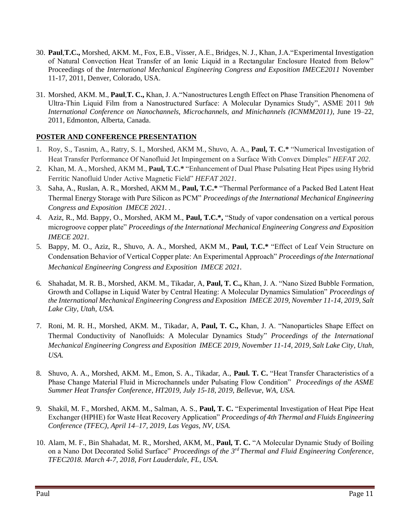- 30. **Paul**,**T.C.,** Morshed, AKM. M., Fox, E.B., Visser, A.E., Bridges, N. J., Khan, J.A."Experimental Investigation of Natural Convection Heat Transfer of an Ionic Liquid in a Rectangular Enclosure Heated from Below" Proceedings of the *International Mechanical Engineering Congress and Exposition IMECE2011* November 11-17, 2011, Denver, Colorado, USA.
- 31. Morshed, AKM. M., **Paul**,**T. C.,** Khan, J. A."Nanostructures Length Effect on Phase Transition Phenomena of Ultra-Thin Liquid Film from a Nanostructured Surface: A Molecular Dynamics Study", ASME 2011 *9th International Conference on Nanochannels, Microchannels, and Minichannels (ICNMM2011)*, June 19–22, 2011, Edmonton, Alberta, Canada.

# **POSTER AND CONFERENCE PRESENTATION**

- 1. Roy, S., Tasnim, A., Ratry, S. I., Morshed, AKM M., Shuvo, A. A., **Paul, T. C.\*** "Numerical Investigation of Heat Transfer Performance Of Nanofluid Jet Impingement on a Surface With Convex Dimples" *HEFAT 202*.
- 2. Khan, M. A., Morshed, AKM M., **Paul, T.C.\*** "Enhancement of Dual Phase Pulsating Heat Pipes using Hybrid Ferritic Nanofluid Under Active Magnetic Field" *HEFAT 2021*.
- 3. Saha, A., Ruslan, A. R., Morshed, AKM M., **Paul, T.C.\*** "Thermal Performance of a Packed Bed Latent Heat Thermal Energy Storage with Pure Silicon as PCM" *Proceedings of the International Mechanical Engineering Congress and Exposition IMECE 2021. .*
- 4. Aziz, R., Md. Bappy, O., Morshed, AKM M., **Paul, T.C.\*,** "Study of vapor condensation on a vertical porous microgroove copper plate" *Proceedings of the International Mechanical Engineering Congress and Exposition IMECE 2021.*
- 5. Bappy, M. O., Aziz, R., Shuvo, A. A., Morshed, AKM M., **Paul, T.C.\*** "Effect of Leaf Vein Structure on Condensation Behavior of Vertical Copper plate: An Experimental Approach" *Proceedings of the International Mechanical Engineering Congress and Exposition IMECE 2021.*
- 6. Shahadat, M. R. B., Morshed, AKM. M., Tikadar, A, **Paul, T. C.,** Khan, J. A. "Nano Sized Bubble Formation, Growth and Collapse in Liquid Water by Central Heating: A Molecular Dynamics Simulation" *Proceedings of the International Mechanical Engineering Congress and Exposition IMECE 2019, November 11-14, 2019, Salt Lake City, Utah, USA.*
- 7. Roni, M. R. H., Morshed, AKM. M., Tikadar, A, **Paul, T. C.,** Khan, J. A. "Nanoparticles Shape Effect on Thermal Conductivity of Nanofluids: A Molecular Dynamics Study" *Proceedings of the International Mechanical Engineering Congress and Exposition IMECE 2019, November 11-14, 2019, Salt Lake City, Utah, USA.*
- 8. Shuvo, A. A., Morshed, AKM. M., Emon, S. A., Tikadar, A., **Paul. T. C.** "Heat Transfer Characteristics of a Phase Change Material Fluid in Microchannels under Pulsating Flow Condition" *Proceedings of the ASME Summer Heat Transfer Conference, HT2019, July 15-18, 2019, Bellevue, WA, USA.*
- 9. Shakil, M. F., Morshed, AKM. M., Salman, A. S., **Paul, T. C.** "Experimental Investigation of Heat Pipe Heat Exchanger (HPHE) for Waste Heat Recovery Application" *Proceedings of 4th Thermal and Fluids Engineering Conference (TFEC), April 14–17, 2019, Las Vegas, NV, USA.*
- 10. Alam, M. F., Bin Shahadat, M. R., Morshed, AKM, M., **Paul, T. C.** "A Molecular Dynamic Study of Boiling on a Nano Dot Decorated Solid Surface" *Proceedings of the 3rd Thermal and Fluid Engineering Conference, TFEC2018. March 4-7, 2018, Fort Lauderdale, FL, USA.*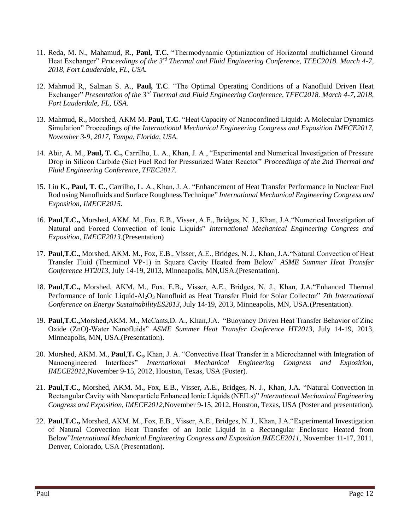- 11. Reda, M. N., Mahamud, R., **Paul, T.C.** "Thermodynamic Optimization of Horizontal multichannel Ground Heat Exchanger" *Proceedings of the 3rd Thermal and Fluid Engineering Conference, TFEC2018. March 4-7, 2018, Fort Lauderdale, FL, USA.*
- 12. Mahmud R,, Salman S. A., **Paul, T.C**. "The Optimal Operating Conditions of a Nanofluid Driven Heat Exchanger" *Presentation of the 3rd Thermal and Fluid Engineering Conference, TFEC2018. March 4-7, 2018, Fort Lauderdale, FL, USA.*
- 13. Mahmud, R., Morshed, AKM M. **Paul, T.C**. "Heat Capacity of Nanoconfined Liquid: A Molecular Dynamics Simulation" Proceedings *of the International Mechanical Engineering Congress and Exposition IMECE2017, November 3-9, 2017, Tampa, Florida, USA.*
- 14. Abir, A. M., **Paul, T. C.,** Carrilho, L. A., Khan, J. A., "Experimental and Numerical Investigation of Pressure Drop in Silicon Carbide (Sic) Fuel Rod for Pressurized Water Reactor" *Proceedings of the 2nd Thermal and Fluid Engineering Conference, TFEC2017.*
- 15. Liu K., **Paul, T. C.**, Carrilho, L. A., Khan, J. A. "Enhancement of Heat Transfer Performance in Nuclear Fuel Rod using Nanofluids and Surface Roughness Technique" *International Mechanical Engineering Congress and Exposition, IMECE2015*.
- 16. **Paul**,**T.C.,** Morshed, AKM. M., Fox, E.B., Visser, A.E., Bridges, N. J., Khan, J.A."Numerical Investigation of Natural and Forced Convection of Ionic Liquids" *International Mechanical Engineering Congress and Exposition, IMECE2013.*(Presentation)
- 17. **Paul**,**T.C.,** Morshed, AKM. M., Fox, E.B., Visser, A.E., Bridges, N. J., Khan, J.A."Natural Convection of Heat Transfer Fluid (Therminol VP-1) in Square Cavity Heated from Below" *ASME Summer Heat Transfer Conference HT2013*, July 14-19, 2013, Minneapolis, MN,USA.(Presentation).
- 18. **Paul**,**T.C.,** Morshed, AKM. M., Fox, E.B., Visser, A.E., Bridges, N. J., Khan, J.A."Enhanced Thermal Performance of Ionic Liquid-Al2O3 Nanofluid as Heat Transfer Fluid for Solar Collector" *7th International Conference on Energy SustainabilityES2013*, July 14-19, 2013, Minneapolis, MN, USA.(Presentation).
- 19. **Paul**,**T.C.,**Morshed,AKM. M., McCants,D. A., Khan,J.A. "Buoyancy Driven Heat Transfer Behavior of Zinc Oxide (ZnO)-Water Nanofluids" *ASME Summer Heat Transfer Conference HT2013*, July 14-19, 2013, Minneapolis, MN, USA.(Presentation).
- 20. Morshed, AKM. M., **Paul**,**T. C.,** Khan, J. A. "Convective Heat Transfer in a Microchannel with Integration of Nanoengineered Interfaces" *International Mechanical Engineering Congress and Exposition, IMECE2012*,November 9-15, 2012, Houston, Texas, USA (Poster).
- 21. **Paul**,**T.C.,** Morshed, AKM. M., Fox, E.B., Visser, A.E., Bridges, N. J., Khan, J.A. "Natural Convection in Rectangular Cavity with Nanoparticle Enhanced Ionic Liquids (NEILs)" *International Mechanical Engineering Congress and Exposition, IMECE2012*,November 9-15, 2012, Houston, Texas, USA (Poster and presentation).
- 22. **Paul**,**T.C.,** Morshed, AKM. M., Fox, E.B., Visser, A.E., Bridges, N. J., Khan, J.A."Experimental Investigation of Natural Convection Heat Transfer of an Ionic Liquid in a Rectangular Enclosure Heated from Below"*International Mechanical Engineering Congress and Exposition IMECE2011,* November 11-17, 2011, Denver, Colorado, USA (Presentation).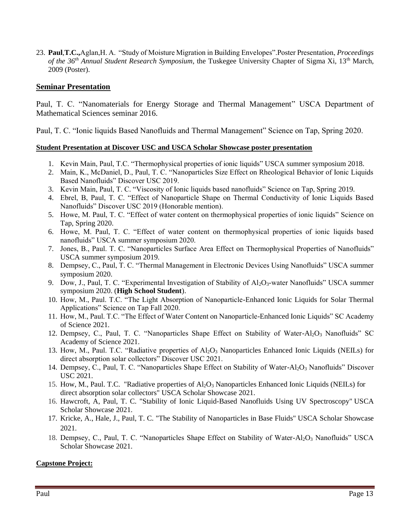23. **Paul**,**T.C.,**Aglan,H. A. "Study of Moisture Migration in Building Envelopes".Poster Presentation, *Proceedings of the 36th Annual Student Research Symposium*, the Tuskegee University Chapter of Sigma Xi, 13th March, 2009 (Poster).

## **Seminar Presentation**

Paul, T. C. "Nanomaterials for Energy Storage and Thermal Management" USCA Department of Mathematical Sciences seminar 2016.

Paul, T. C. "Ionic liquids Based Nanofluids and Thermal Management" Science on Tap, Spring 2020.

#### **Student Presentation at Discover USC and USCA Scholar Showcase poster presentation**

- 1. Kevin Main, Paul, T.C. "Thermophysical properties of ionic liquids" USCA summer symposium 2018.
- 2. Main, K., McDaniel, D., Paul, T. C. "Nanoparticles Size Effect on Rheological Behavior of Ionic Liquids Based Nanofluids" Discover USC 2019.
- 3. Kevin Main, Paul, T. C. "Viscosity of Ionic liquids based nanofluids" Science on Tap, Spring 2019.
- 4. Ebrel, B, Paul, T. C. "Effect of Nanoparticle Shape on Thermal Conductivity of Ionic Liquids Based Nanofluids" Discover USC 2019 (Honorable mention).
- 5. Howe, M. Paul, T. C. "Effect of water content on thermophysical properties of ionic liquids" Science on Tap, Spring 2020.
- 6. Howe, M. Paul, T. C. "Effect of water content on thermophysical properties of ionic liquids based nanofluids" USCA summer symposium 2020.
- 7. Jones, B., Paul. T. C. "Nanoparticles Surface Area Effect on Thermophysical Properties of Nanofluids" USCA summer symposium 2019.
- 8. Dempsey, C., Paul, T. C. "Thermal Management in Electronic Devices Using Nanofluids" USCA summer symposium 2020.
- 9. Dow, J., Paul, T. C. "Experimental Investigation of Stability of Al<sub>2</sub>O<sub>3</sub>-water Nanofluids" USCA summer symposium 2020. (**High School Student**).
- 10. How, M., Paul. T.C. "The Light Absorption of Nanoparticle-Enhanced Ionic Liquids for Solar Thermal Applications" Science on Tap Fall 2020.
- 11. How, M., Paul. T.C. "The Effect of Water Content on Nanoparticle-Enhanced Ionic Liquids" SC Academy of Science 2021.
- 12. Dempsey, C., Paul, T. C. "Nanoparticles Shape Effect on Stability of Water-Al2O3 Nanofluids" SC Academy of Science 2021.
- 13. How, M., Paul. T.C. "Radiative properties of Al<sub>2</sub>O<sub>3</sub> Nanoparticles Enhanced Ionic Liquids (NEILs) for direct absorption solar collectors" Discover USC 2021.
- 14. Dempsey, C., Paul, T. C. "Nanoparticles Shape Effect on Stability of Water-Al<sub>2</sub>O<sub>3</sub> Nanofluids" Discover USC 2021.
- 15. How, M., Paul. T.C. "Radiative properties of Al2O<sup>3</sup> Nanoparticles Enhanced Ionic Liquids (NEILs) for direct absorption solar collectors" USCA Scholar Showcase 2021.
- 16. Hawcroft, A, Paul, T. C. "Stability of Ionic Liquid-Based Nanofluids Using UV Spectroscopy" USCA Scholar Showcase 2021.
- 17. Kricke, A., Hale, J., Paul, T. C. "The Stability of Nanoparticles in Base Fluids" USCA Scholar Showcase 2021.
- 18. Dempsey, C., Paul, T. C. "Nanoparticles Shape Effect on Stability of Water-Al<sub>2</sub>O<sub>3</sub> Nanofluids" USCA Scholar Showcase 2021.

#### **Capstone Project:**